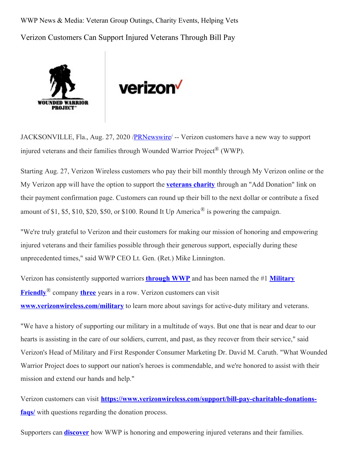WWP News & Media: Veteran Group Outings, Charity Events, Helping Vets Verizon Customers Can Support Injured Veterans Through Bill Pay





JACKSONVILLE, Fla., Aug. 27, 2020 /**PRNewswire/ --** Verizon customers have a new way to support injured veterans and their families through Wounded Warrior Project® (WWP).

Starting Aug. 27, Verizon Wireless customers who pay their bill monthly through My Verizon online or the My Verizon app will have the option to support the **[veterans](https://c212.net/c/link/?t=0&l=en&o=2900657-1&h=3277097560&u=https%3A%2F%2Fwww.woundedwarriorproject.org%2F&a=veterans+charity) charity** through an "Add Donation" link on their payment confirmation page. Customers can round up their bill to the next dollar or contribute a fixed amount of \$1, \$5, \$10, \$20, \$50, or \$100. Round It Up America<sup>®</sup> is powering the campaign.

"We're truly grateful to Verizon and their customers for making our mission of honoring and empowering injured veterans and their families possible through their generous support, especially during these unprecedented times," said WWP CEO Lt. Gen. (Ret.) Mike Linnington.

Verizon has [consistently](https://c212.net/c/link/?t=0&l=en&o=2900657-1&h=1429169901&u=https%3A%2F%2Fwww.militaryfriendly.com%2F2020-mfc%2F&a=Military+Friendly) supported warriors **[through](https://c212.net/c/link/?t=0&l=en&o=2900657-1&h=1418048228&u=https%3A%2F%2Fnewsroom.woundedwarriorproject.org%2F2018-07-02-Verizon-Presents-Check-in-Support-of-Wounded-Warrior-Project-Veterans%23assets_all&a=through+WWP) WWP** and has been named the #1 **Military Friendly**® company **[three](https://c212.net/c/link/?t=0&l=en&o=2900657-1&h=3945737315&u=https%3A%2F%2Fwww.verizon.com%2Fabout%2Fcareers%2Fblog%2Fverizon-named-1-military-friendly-company-third-year-row&a=three)** years in a row. Verizon customers can visit **[www.verizonwireless.com/military](https://c212.net/c/link/?t=0&l=en&o=2900657-1&h=4059604554&u=http%3A%2F%2Fwww.verizonwireless.com%2Fmilitary&a=www.verizonwireless.com%2Fmilitary)** to learn more about savings for active-duty military and veterans.

"We have a history of supporting our military in a multitude of ways. But one that is near and dear to our hearts is assisting in the care of our soldiers, current, and past, as they recover from their service," said Verizon's Head of Military and First Responder Consumer Marketing Dr. David M. Caruth. "What Wounded Warrior Project does to support our nation's heroes is commendable, and we're honored to assist with their mission and extend our hands and help."

Verizon customers can visit **[https://www.verizonwireless.com/support/bill-pay-charitable-donations](https://c212.net/c/link/?t=0&l=en&o=2900657-1&h=3414476853&u=https%3A%2F%2Fwww.verizonwireless.com%2Fsupport%2Fbill-pay-charitable-donations-faqs%2F&a=https%3A%2F%2Fwww.verizonwireless.com%2Fsupport%2Fbill-pay-charitable-donations-faqs%2F)faqs**/ with questions regarding the donation process.

Supporters can **[discover](https://c212.net/c/link/?t=0&l=en&o=2900657-1&h=3702403889&u=https%3A%2F%2Fwww.woundedwarriorproject.org%2Fprograms&a=discover)** how WWP is honoring and empowering injured veterans and their families.